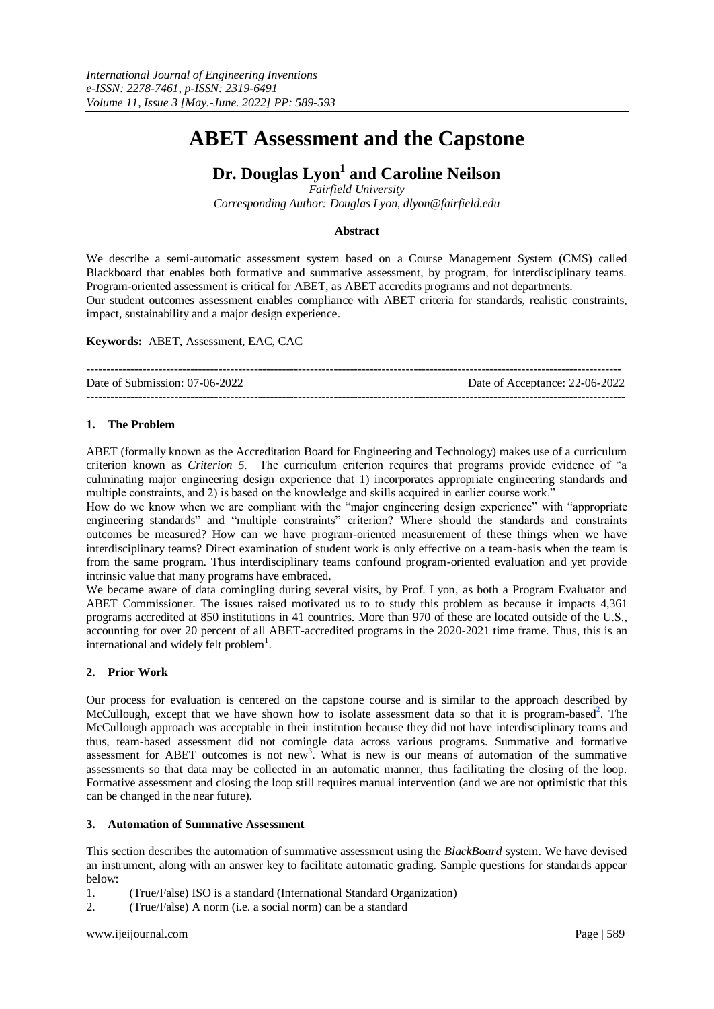# **ABET Assessment and the Capstone**

## **Dr. Douglas Lyon<sup>1</sup> and Caroline Neilson**

*Fairfield University* 

*Corresponding Author: Douglas Lyon, dlyon@fairfield.edu*

### **Abstract**

We describe a semi-automatic assessment system based on a Course Management System (CMS) called Blackboard that enables both formative and summative assessment, by program, for interdisciplinary teams. Program-oriented assessment is critical for ABET, as ABET accredits programs and not departments. Our student outcomes assessment enables compliance with ABET criteria for standards, realistic constraints, impact, sustainability and a major design experience.

**Keywords:** ABET, Assessment, EAC, CAC

| Date of Submission: 07-06-2022 | Date of Acceptance: 22-06-2022 |
|--------------------------------|--------------------------------|
|                                |                                |

### **1. The Problem**

ABET (formally known as the Accreditation Board for Engineering and Technology) makes use of a curriculum criterion known as *Criterion 5.* The curriculum criterion requires that programs provide evidence of "a culminating major engineering design experience that 1) incorporates appropriate engineering standards and multiple constraints, and 2) is based on the knowledge and skills acquired in earlier course work."

How do we know when we are compliant with the "major engineering design experience" with "appropriate engineering standards" and "multiple constraints" criterion? Where should the standards and constraints outcomes be measured? How can we have program-oriented measurement of these things when we have interdisciplinary teams? Direct examination of student work is only effective on a team-basis when the team is from the same program. Thus interdisciplinary teams confound program-oriented evaluation and yet provide intrinsic value that many programs have embraced.

We became aware of data comingling during several visits, by Prof. Lyon, as both a Program Evaluator and ABET Commissioner. The issues raised motivated us to to study this problem as because it impacts 4,361 programs accredited at 850 institutions in 41 countries. More than 970 of these are located outside of the U.S., accounting for over 20 percent of all ABET-accredited programs in the 2020-2021 time frame. Thus, this is an international and widely felt problem<sup>1</sup>.

### **2. Prior Work**

Our process for evaluation is centered on the capstone course and is similar to the approach described by McCullough, except that we have shown how to isolate assessment data so that it is program-based<sup>2</sup>. The McCullough approach was acceptable in their institution because they did not have interdisciplinary teams and thus, team-based assessment did not comingle data across various programs. Summative and formative assessment for ABET outcomes is not new<sup>3</sup>. What is new is our means of automation of the summative assessments so that data may be collected in an automatic manner, thus facilitating the closing of the loop. Formative assessment and closing the loop still requires manual intervention (and we are not optimistic that this can be changed in the near future).

### **3. Automation of Summative Assessment**

This section describes the automation of summative assessment using the *BlackBoard* system. We have devised an instrument, along with an answer key to facilitate automatic grading. Sample questions for standards appear below:

1. (True/False) ISO is a standard (International Standard Organization)

2. (True/False) A norm (i.e. a social norm) can be a standard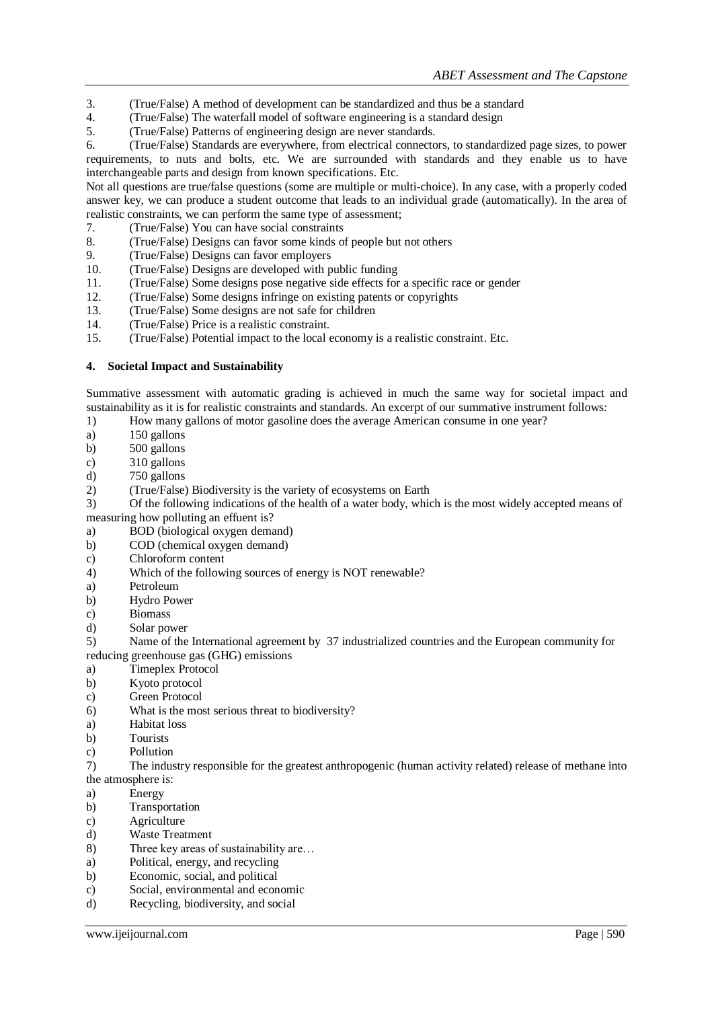- 3. (True/False) A method of development can be standardized and thus be a standard
- 4. (True/False) The waterfall model of software engineering is a standard design
- 5. (True/False) Patterns of engineering design are never standards.

6. (True/False) Standards are everywhere, from electrical connectors, to standardized page sizes, to power requirements, to nuts and bolts, etc. We are surrounded with standards and they enable us to have interchangeable parts and design from known specifications. Etc.

Not all questions are true/false questions (some are multiple or multi-choice). In any case, with a properly coded answer key, we can produce a student outcome that leads to an individual grade (automatically). In the area of realistic constraints, we can perform the same type of assessment;

- 7. (True/False) You can have social constraints
- 8. (True/False) Designs can favor some kinds of people but not others
- 9. (True/False) Designs can favor employers
- 10. (True/False) Designs are developed with public funding
- 11. (True/False) Some designs pose negative side effects for a specific race or gender
- 12. (True/False) Some designs infringe on existing patents or copyrights
- 13. (True/False) Some designs are not safe for children<br>14. (True/False) Price is a realistic constraint
- 14. (True/False) Price is a realistic constraint.
- 15. (True/False) Potential impact to the local economy is a realistic constraint. Etc.

### **4. Societal Impact and Sustainability**

Summative assessment with automatic grading is achieved in much the same way for societal impact and sustainability as it is for realistic constraints and standards. An excerpt of our summative instrument follows:

- 1) How many gallons of motor gasoline does the average American consume in one year?
- a) 150 gallons
- b) 500 gallons
- c) 310 gallons
- d) 750 gallons
- 2) (True/False) Biodiversity is the variety of ecosystems on Earth

3) Of the following indications of the health of a water body, which is the most widely accepted means of measuring how polluting an effuent is?

- a) BOD (biological oxygen demand)
- b) COD (chemical oxygen demand)
- c) Chloroform content
- 4) Which of the following sources of energy is NOT renewable?
- a) Petroleum
- b) Hydro Power
- c) Biomass
- d) Solar power

5) Name of the International agreement by 37 industrialized countries and the European community for reducing greenhouse gas (GHG) emissions

- a) Timeplex Protocol
- b) Kyoto protocol
- c) Green Protocol
- 6) What is the most serious threat to biodiversity?
- a) Habitat loss
- b) Tourists
- c) Pollution
- 7) The industry responsible for the greatest anthropogenic (human activity related) release of methane into the atmosphere is:
- a) Energy
- b) Transportation
- c) Agriculture
- d) Waste Treatment
- 8) Three key areas of sustainability are...
- a) Political, energy, and recycling
- b) Economic, social, and political
- c) Social, environmental and economic
- d) Recycling, biodiversity, and social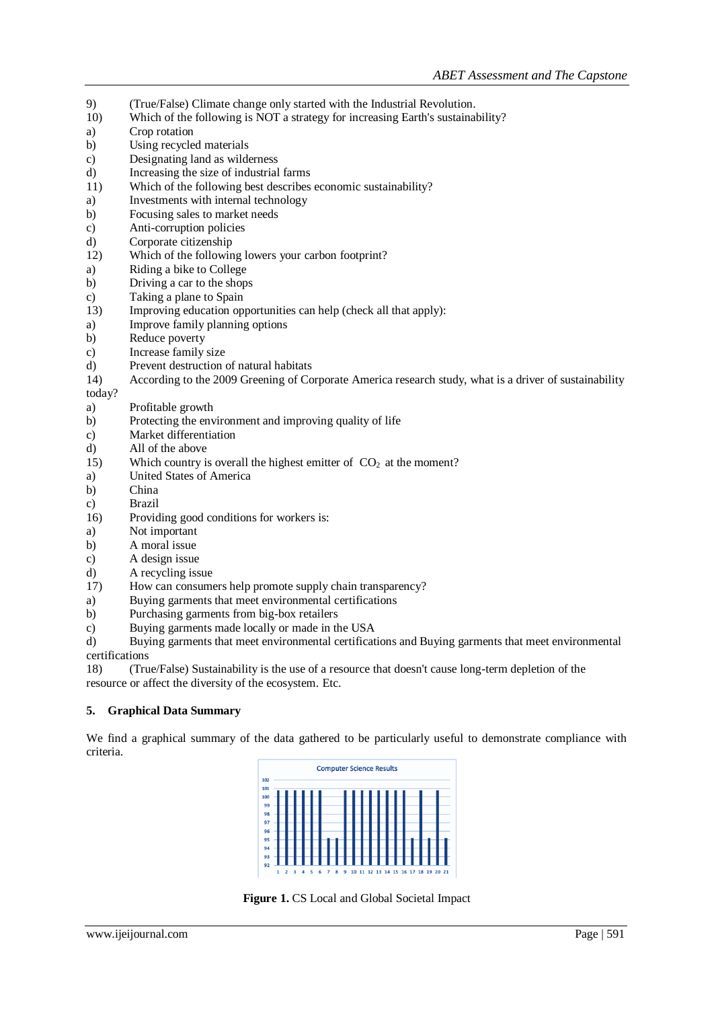- 9) (True/False) Climate change only started with the Industrial Revolution. 10) Which of the following is NOT a strategy for increasing Earth's sustainability? a) Crop rotation b) Using recycled materials c) Designating land as wilderness d) Increasing the size of industrial farms 11) Which of the following best describes economic sustainability? a) Investments with internal technology b) Focusing sales to market needs c) Anti-corruption policies d) Corporate citizenship 12) Which of the following lowers your carbon footprint? a) Riding a bike to College b) Driving a car to the shops c) Taking a plane to Spain 13) Improving education opportunities can help (check all that apply): a) Improve family planning options b) Reduce poverty c) Increase family size d) Prevent destruction of natural habitats 14) According to the 2009 Greening of Corporate America research study, what is a driver of sustainability today? a) Profitable growth b) Protecting the environment and improving quality of life c) Market differentiation
- d) All of the above
- 15) Which country is overall the highest emitter of  $CO<sub>2</sub>$  at the moment?
- a) United States of America
- b) China
- c) Brazil
- 16) Providing good conditions for workers is:
- a) Not important
- b) A moral issue
- c) A design issue
- d) A recycling issue
- 17) How can consumers help promote supply chain transparency?
- a) Buying garments that meet environmental certifications
- b) Purchasing garments from big-box retailers
- c) Buying garments made locally or made in the USA
- d) Buying garments that meet environmental certifications and Buying garments that meet environmental certifications

18) (True/False) Sustainability is the use of a resource that doesn't cause long-term depletion of the resource or affect the diversity of the ecosystem. Etc.

### **5. Graphical Data Summary**

We find a graphical summary of the data gathered to be particularly useful to demonstrate compliance with criteria.



**Figure 1.** CS Local and Global Societal Impact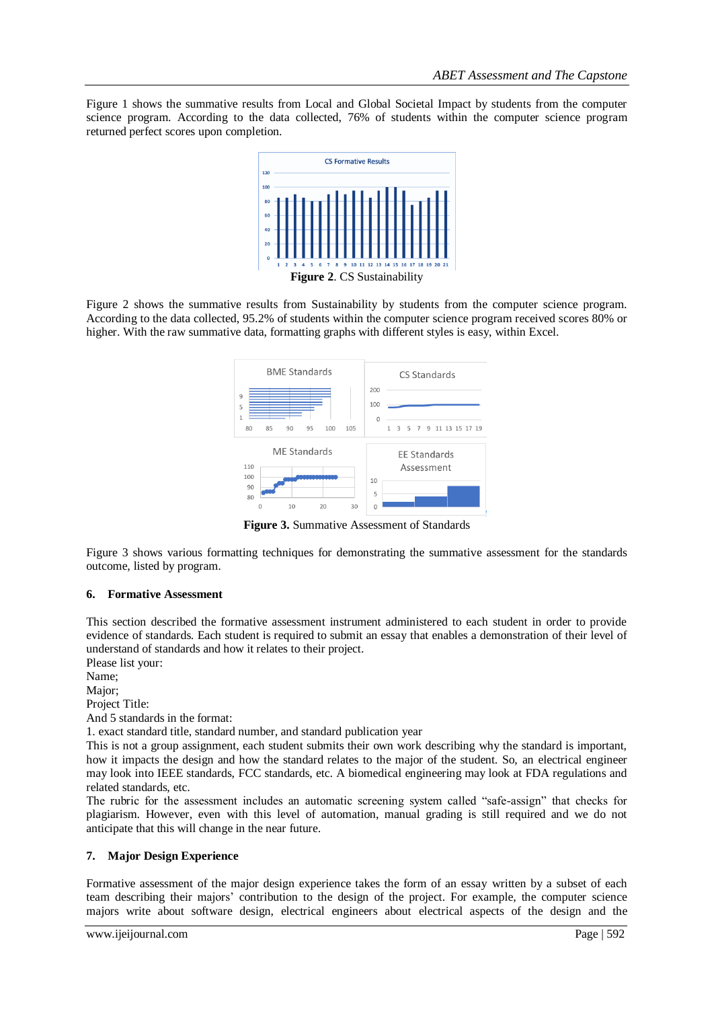Figure 1 shows the summative results from Local and Global Societal Impact by students from the computer science program. According to the data collected, 76% of students within the computer science program returned perfect scores upon completion.



Figure 2 shows the summative results from Sustainability by students from the computer science program. According to the data collected, 95.2% of students within the computer science program received scores 80% or higher. With the raw summative data, formatting graphs with different styles is easy, within Excel.



**Figure 3.** Summative Assessment of Standards

Figure 3 shows various formatting techniques for demonstrating the summative assessment for the standards outcome, listed by program.

### **6. Formative Assessment**

This section described the formative assessment instrument administered to each student in order to provide evidence of standards. Each student is required to submit an essay that enables a demonstration of their level of understand of standards and how it relates to their project.

Please list your:

Name;

Major;

Project Title:

And 5 standards in the format:

1. exact standard title, standard number, and standard publication year

This is not a group assignment, each student submits their own work describing why the standard is important, how it impacts the design and how the standard relates to the major of the student. So, an electrical engineer may look into IEEE standards, FCC standards, etc. A biomedical engineering may look at FDA regulations and related standards, etc.

The rubric for the assessment includes an automatic screening system called "safe-assign" that checks for plagiarism. However, even with this level of automation, manual grading is still required and we do not anticipate that this will change in the near future.

### **7. Major Design Experience**

Formative assessment of the major design experience takes the form of an essay written by a subset of each team describing their majors' contribution to the design of the project. For example, the computer science majors write about software design, electrical engineers about electrical aspects of the design and the